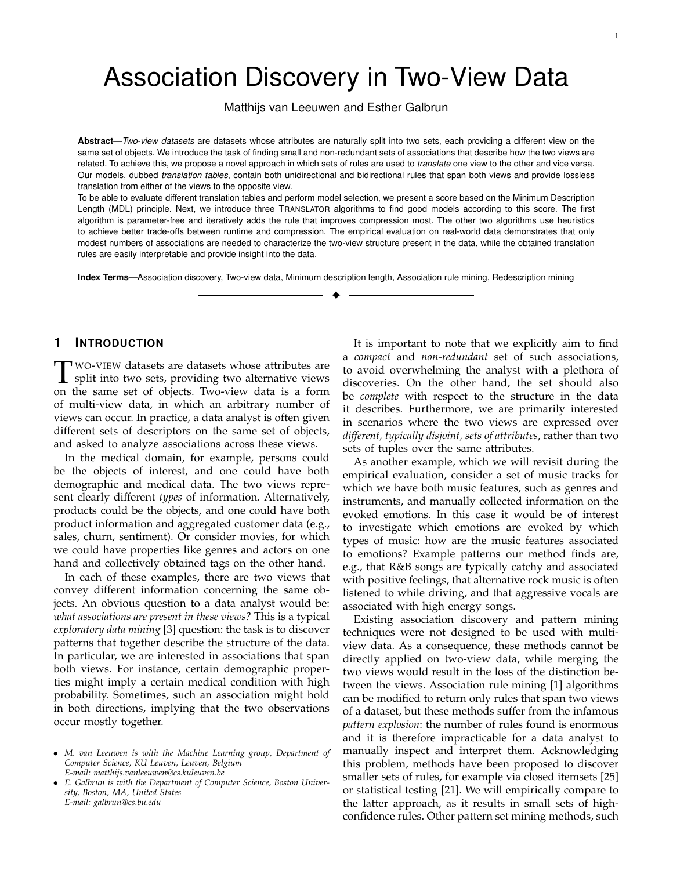# Association Discovery in Two-View Data

Matthijs van Leeuwen and Esther Galbrun

**Abstract**—*Two-view datasets* are datasets whose attributes are naturally split into two sets, each providing a different view on the same set of objects. We introduce the task of finding small and non-redundant sets of associations that describe how the two views are related. To achieve this, we propose a novel approach in which sets of rules are used to *translate* one view to the other and vice versa. Our models, dubbed *translation tables*, contain both unidirectional and bidirectional rules that span both views and provide lossless translation from either of the views to the opposite view.

To be able to evaluate different translation tables and perform model selection, we present a score based on the Minimum Description Length (MDL) principle. Next, we introduce three TRANSLATOR algorithms to find good models according to this score. The first algorithm is parameter-free and iteratively adds the rule that improves compression most. The other two algorithms use heuristics to achieve better trade-offs between runtime and compression. The empirical evaluation on real-world data demonstrates that only modest numbers of associations are needed to characterize the two-view structure present in the data, while the obtained translation rules are easily interpretable and provide insight into the data.

✦

**Index Terms**—Association discovery, Two-view data, Minimum description length, Association rule mining, Redescription mining

# **1 INTRODUCTION**

**T** WO-VIEW datasets are datasets whose attributes are split into two sets, providing two alternative views on the same set of objects. Two-view data is a form WO-VIEW datasets are datasets whose attributes are split into two sets, providing two alternative views of multi-view data, in which an arbitrary number of views can occur. In practice, a data analyst is often given different sets of descriptors on the same set of objects, and asked to analyze associations across these views.

In the medical domain, for example, persons could be the objects of interest, and one could have both demographic and medical data. The two views represent clearly different *types* of information. Alternatively, products could be the objects, and one could have both product information and aggregated customer data (e.g., sales, churn, sentiment). Or consider movies, for which we could have properties like genres and actors on one hand and collectively obtained tags on the other hand.

In each of these examples, there are two views that convey different information concerning the same objects. An obvious question to a data analyst would be: *what associations are present in these views?* This is a typical *exploratory data mining* [3] question: the task is to discover patterns that together describe the structure of the data. In particular, we are interested in associations that span both views. For instance, certain demographic properties might imply a certain medical condition with high probability. Sometimes, such an association might hold in both directions, implying that the two observations occur mostly together.

It is important to note that we explicitly aim to find a *compact* and *non-redundant* set of such associations, to avoid overwhelming the analyst with a plethora of discoveries. On the other hand, the set should also be *complete* with respect to the structure in the data it describes. Furthermore, we are primarily interested in scenarios where the two views are expressed over *different, typically disjoint, sets of attributes*, rather than two sets of tuples over the same attributes.

As another example, which we will revisit during the empirical evaluation, consider a set of music tracks for which we have both music features, such as genres and instruments, and manually collected information on the evoked emotions. In this case it would be of interest to investigate which emotions are evoked by which types of music: how are the music features associated to emotions? Example patterns our method finds are, e.g., that R&B songs are typically catchy and associated with positive feelings, that alternative rock music is often listened to while driving, and that aggressive vocals are associated with high energy songs.

Existing association discovery and pattern mining techniques were not designed to be used with multiview data. As a consequence, these methods cannot be directly applied on two-view data, while merging the two views would result in the loss of the distinction between the views. Association rule mining [1] algorithms can be modified to return only rules that span two views of a dataset, but these methods suffer from the infamous *pattern explosion*: the number of rules found is enormous and it is therefore impracticable for a data analyst to manually inspect and interpret them. Acknowledging this problem, methods have been proposed to discover smaller sets of rules, for example via closed itemsets [25] or statistical testing [21]. We will empirically compare to the latter approach, as it results in small sets of highconfidence rules. Other pattern set mining methods, such

<sup>•</sup> *M. van Leeuwen is with the Machine Learning group, Department of Computer Science, KU Leuven, Leuven, Belgium E-mail: matthijs.vanleeuwen@cs.kuleuven.be*

<sup>•</sup> *E. Galbrun is with the Department of Computer Science, Boston University, Boston, MA, United States E-mail: galbrun@cs.bu.edu*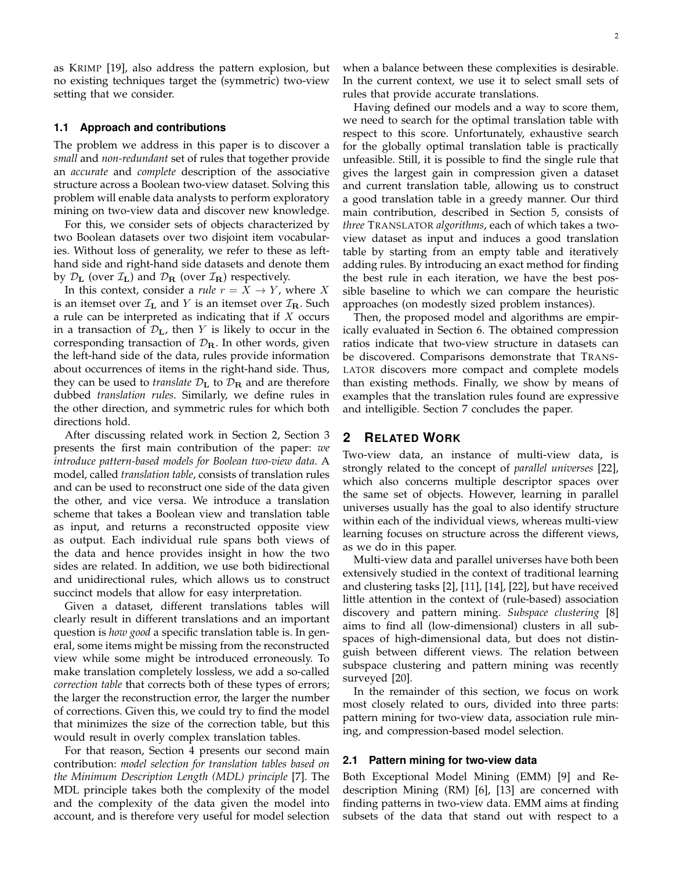as KRIMP [19], also address the pattern explosion, but no existing techniques target the (symmetric) two-view setting that we consider.

#### **1.1 Approach and contributions**

The problem we address in this paper is to discover a *small* and *non-redundant* set of rules that together provide an *accurate* and *complete* description of the associative structure across a Boolean two-view dataset. Solving this problem will enable data analysts to perform exploratory mining on two-view data and discover new knowledge.

For this, we consider sets of objects characterized by two Boolean datasets over two disjoint item vocabularies. Without loss of generality, we refer to these as lefthand side and right-hand side datasets and denote them by  $\mathcal{D}_{\mathbf{L}}$  (over  $\mathcal{I}_{\mathbf{L}}$ ) and  $\mathcal{D}_{\mathbf{R}}$  (over  $\mathcal{I}_{\mathbf{R}}$ ) respectively.

In this context, consider a *rule*  $r = X \rightarrow Y$ , where X is an itemset over  $\mathcal{I}_L$  and Y is an itemset over  $\mathcal{I}_R$ . Such a rule can be interpreted as indicating that if  $X$  occurs in a transaction of  $\mathcal{D}_{L}$ , then Y is likely to occur in the corresponding transaction of  $\mathcal{D}_R$ . In other words, given the left-hand side of the data, rules provide information about occurrences of items in the right-hand side. Thus, they can be used to *translate*  $\mathcal{D}_{\mathbf{L}}$  to  $\mathcal{D}_{\mathbf{R}}$  and are therefore dubbed *translation rules*. Similarly, we define rules in the other direction, and symmetric rules for which both directions hold.

After discussing related work in Section 2, Section 3 presents the first main contribution of the paper: *we introduce pattern-based models for Boolean two-view data*. A model, called *translation table*, consists of translation rules and can be used to reconstruct one side of the data given the other, and vice versa. We introduce a translation scheme that takes a Boolean view and translation table as input, and returns a reconstructed opposite view as output. Each individual rule spans both views of the data and hence provides insight in how the two sides are related. In addition, we use both bidirectional and unidirectional rules, which allows us to construct succinct models that allow for easy interpretation.

Given a dataset, different translations tables will clearly result in different translations and an important question is *how good* a specific translation table is. In general, some items might be missing from the reconstructed view while some might be introduced erroneously. To make translation completely lossless, we add a so-called *correction table* that corrects both of these types of errors; the larger the reconstruction error, the larger the number of corrections. Given this, we could try to find the model that minimizes the size of the correction table, but this would result in overly complex translation tables.

For that reason, Section 4 presents our second main contribution: *model selection for translation tables based on the Minimum Description Length (MDL) principle* [7]. The MDL principle takes both the complexity of the model and the complexity of the data given the model into account, and is therefore very useful for model selection when a balance between these complexities is desirable. In the current context, we use it to select small sets of rules that provide accurate translations.

Having defined our models and a way to score them, we need to search for the optimal translation table with respect to this score. Unfortunately, exhaustive search for the globally optimal translation table is practically unfeasible. Still, it is possible to find the single rule that gives the largest gain in compression given a dataset and current translation table, allowing us to construct a good translation table in a greedy manner. Our third main contribution, described in Section 5, consists of *three* TRANSLATOR *algorithms*, each of which takes a twoview dataset as input and induces a good translation table by starting from an empty table and iteratively adding rules. By introducing an exact method for finding the best rule in each iteration, we have the best possible baseline to which we can compare the heuristic approaches (on modestly sized problem instances).

Then, the proposed model and algorithms are empirically evaluated in Section 6. The obtained compression ratios indicate that two-view structure in datasets can be discovered. Comparisons demonstrate that TRANS-LATOR discovers more compact and complete models than existing methods. Finally, we show by means of examples that the translation rules found are expressive and intelligible. Section 7 concludes the paper.

## **2 RELATED WORK**

Two-view data, an instance of multi-view data, is strongly related to the concept of *parallel universes* [22], which also concerns multiple descriptor spaces over the same set of objects. However, learning in parallel universes usually has the goal to also identify structure within each of the individual views, whereas multi-view learning focuses on structure across the different views, as we do in this paper.

Multi-view data and parallel universes have both been extensively studied in the context of traditional learning and clustering tasks [2], [11], [14], [22], but have received little attention in the context of (rule-based) association discovery and pattern mining. *Subspace clustering* [8] aims to find all (low-dimensional) clusters in all subspaces of high-dimensional data, but does not distinguish between different views. The relation between subspace clustering and pattern mining was recently surveyed [20].

In the remainder of this section, we focus on work most closely related to ours, divided into three parts: pattern mining for two-view data, association rule mining, and compression-based model selection.

#### **2.1 Pattern mining for two-view data**

Both Exceptional Model Mining (EMM) [9] and Redescription Mining (RM) [6], [13] are concerned with finding patterns in two-view data. EMM aims at finding subsets of the data that stand out with respect to a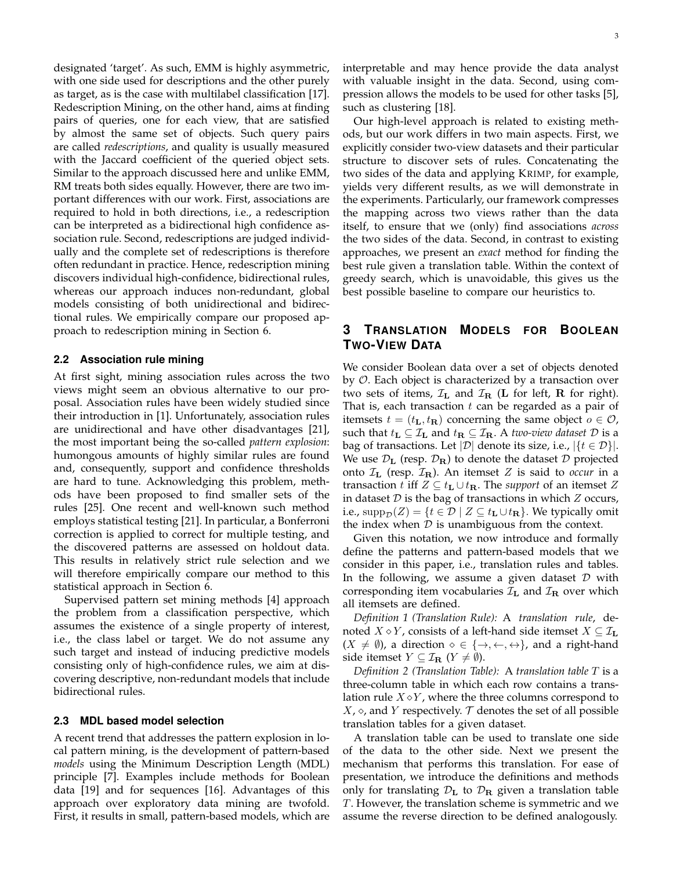designated 'target'. As such, EMM is highly asymmetric, with one side used for descriptions and the other purely as target, as is the case with multilabel classification [17]. Redescription Mining, on the other hand, aims at finding pairs of queries, one for each view, that are satisfied by almost the same set of objects. Such query pairs are called *redescriptions*, and quality is usually measured with the Jaccard coefficient of the queried object sets. Similar to the approach discussed here and unlike EMM, RM treats both sides equally. However, there are two important differences with our work. First, associations are required to hold in both directions, i.e., a redescription can be interpreted as a bidirectional high confidence association rule. Second, redescriptions are judged individually and the complete set of redescriptions is therefore often redundant in practice. Hence, redescription mining discovers individual high-confidence, bidirectional rules, whereas our approach induces non-redundant, global models consisting of both unidirectional and bidirectional rules. We empirically compare our proposed approach to redescription mining in Section 6.

## **2.2 Association rule mining**

At first sight, mining association rules across the two views might seem an obvious alternative to our proposal. Association rules have been widely studied since their introduction in [1]. Unfortunately, association rules are unidirectional and have other disadvantages [21], the most important being the so-called *pattern explosion*: humongous amounts of highly similar rules are found and, consequently, support and confidence thresholds are hard to tune. Acknowledging this problem, methods have been proposed to find smaller sets of the rules [25]. One recent and well-known such method employs statistical testing [21]. In particular, a Bonferroni correction is applied to correct for multiple testing, and the discovered patterns are assessed on holdout data. This results in relatively strict rule selection and we will therefore empirically compare our method to this statistical approach in Section 6.

Supervised pattern set mining methods [4] approach the problem from a classification perspective, which assumes the existence of a single property of interest, i.e., the class label or target. We do not assume any such target and instead of inducing predictive models consisting only of high-confidence rules, we aim at discovering descriptive, non-redundant models that include bidirectional rules.

#### **2.3 MDL based model selection**

A recent trend that addresses the pattern explosion in local pattern mining, is the development of pattern-based *models* using the Minimum Description Length (MDL) principle [7]. Examples include methods for Boolean data [19] and for sequences [16]. Advantages of this approach over exploratory data mining are twofold. First, it results in small, pattern-based models, which are interpretable and may hence provide the data analyst with valuable insight in the data. Second, using compression allows the models to be used for other tasks [5], such as clustering [18].

Our high-level approach is related to existing methods, but our work differs in two main aspects. First, we explicitly consider two-view datasets and their particular structure to discover sets of rules. Concatenating the two sides of the data and applying KRIMP, for example, yields very different results, as we will demonstrate in the experiments. Particularly, our framework compresses the mapping across two views rather than the data itself, to ensure that we (only) find associations *across* the two sides of the data. Second, in contrast to existing approaches, we present an *exact* method for finding the best rule given a translation table. Within the context of greedy search, which is unavoidable, this gives us the best possible baseline to compare our heuristics to.

# **3 TRANSLATION MODELS FOR BOOLEAN TWO-VIEW DATA**

We consider Boolean data over a set of objects denoted by O. Each object is characterized by a transaction over two sets of items,  $\mathcal{I}_L$  and  $\mathcal{I}_R$  (L for left, R for right). That is, each transaction  $t$  can be regarded as a pair of itemsets  $t = (t_{\mathbf{L}}, t_{\mathbf{R}})$  concerning the same object  $o \in \mathcal{O}$ , such that  $t_{\mathbf{L}} \subseteq \mathcal{I}_{\mathbf{L}}$  and  $t_{\mathbf{R}} \subseteq \mathcal{I}_{\mathbf{R}}$ . A *two-view dataset*  $\mathcal{D}$  is a bag of transactions. Let  $|\mathcal{D}|$  denote its size, i.e.,  $|\{t \in \mathcal{D}\}|$ . We use  $\mathcal{D}_{\mathbf{L}}$  (resp.  $\mathcal{D}_{\mathbf{R}}$ ) to denote the dataset  $\mathcal D$  projected onto  $\mathcal{I}_{\text{L}}$  (resp.  $\mathcal{I}_{\text{R}}$ ). An itemset Z is said to *occur* in a transaction t iff  $Z \subseteq t_{\mathbf{L}} \cup t_{\mathbf{R}}$ . The *support* of an itemset Z in dataset  $D$  is the bag of transactions in which  $Z$  occurs, i.e.,  $\text{supp}_{\mathcal{D}}(Z) = \{t \in \mathcal{D} \mid Z \subseteq t_{\mathbf{L}} \cup t_{\mathbf{R}}\}.$  We typically omit the index when  $D$  is unambiguous from the context.

Given this notation, we now introduce and formally define the patterns and pattern-based models that we consider in this paper, i.e., translation rules and tables. In the following, we assume a given dataset  $D$  with corresponding item vocabularies  $\mathcal{I}_L$  and  $\mathcal{I}_R$  over which all itemsets are defined.

*Definition 1 (Translation Rule):* A *translation rule*, denoted  $X \diamond Y$ , consists of a left-hand side itemset  $X \subseteq \mathcal{I}_L$  $(X \neq \emptyset)$ , a direction  $\diamond \in \{\rightarrow, \leftarrow, \leftrightarrow\}$ , and a right-hand side itemset  $Y \subseteq \mathcal{I}_{\mathbf{R}}$   $(Y \neq \emptyset)$ .

*Definition 2 (Translation Table):* A *translation table* T is a three-column table in which each row contains a translation rule  $X \diamond Y$ , where the three columns correspond to  $X$ ,  $\diamond$ , and Y respectively. T denotes the set of all possible translation tables for a given dataset.

A translation table can be used to translate one side of the data to the other side. Next we present the mechanism that performs this translation. For ease of presentation, we introduce the definitions and methods only for translating  $D_{L}$  to  $D_{R}$  given a translation table T. However, the translation scheme is symmetric and we assume the reverse direction to be defined analogously.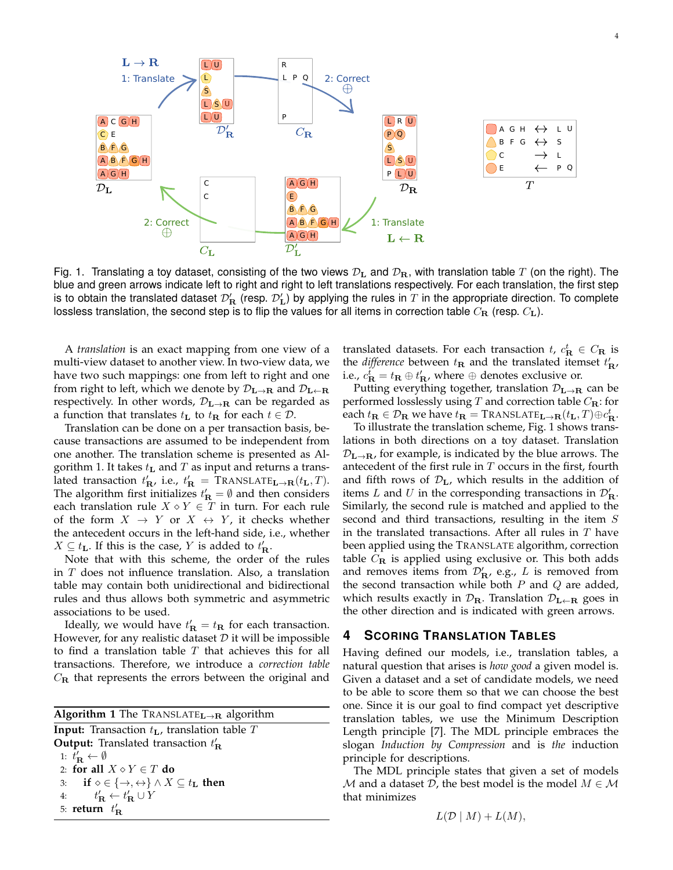

Fig. 1. Translating a toy dataset, consisting of the two views  $D_L$  and  $D_R$ , with translation table T (on the right). The blue and green arrows indicate left to right and right to left translations respectively. For each translation, the first step is to obtain the translated dataset  $\mathcal{D}'_\mathbf{R}$  (resp.  $\mathcal{D}'_\mathbf{L}$ ) by applying the rules in  $T$  in the appropriate direction. To complete lossless translation, the second step is to flip the values for all items in correction table  $C_{\rm R}$  (resp.  $C_{\rm L}$ ).

A *translation* is an exact mapping from one view of a multi-view dataset to another view. In two-view data, we have two such mappings: one from left to right and one from right to left, which we denote by  $\mathcal{D}_{\mathbf{L}\to\mathbf{R}}$  and  $\mathcal{D}_{\mathbf{L}\leftarrow\mathbf{R}}$ respectively. In other words,  $\mathcal{D}_{L\rightarrow R}$  can be regarded as a function that translates  $t_{\mathbf{L}}$  to  $t_{\mathbf{R}}$  for each  $t \in \mathcal{D}$ .

Translation can be done on a per transaction basis, because transactions are assumed to be independent from one another. The translation scheme is presented as Algorithm 1. It takes  $t_{\text{L}}$  and T as input and returns a translated transaction  $t'_R$ , i.e.,  $t'_R = TRANSLATE_{L\rightarrow R}(t_L, T)$ . The algorithm first initializes  $t'_R = \emptyset$  and then considers each translation rule  $X \diamond Y \in T$  in turn. For each rule of the form  $X \rightarrow Y$  or  $X \leftrightarrow Y$ , it checks whether the antecedent occurs in the left-hand side, i.e., whether  $X \subseteq t_{\mathbf{L}}$ . If this is the case, Y is added to  $t'_{\mathbf{R}}$ .

Note that with this scheme, the order of the rules in  $T$  does not influence translation. Also, a translation table may contain both unidirectional and bidirectional rules and thus allows both symmetric and asymmetric associations to be used.

Ideally, we would have  $t'_{\mathbf{R}} = t_{\mathbf{R}}$  for each transaction. However, for any realistic dataset  $D$  it will be impossible to find a translation table  $T$  that achieves this for all transactions. Therefore, we introduce a *correction table*  $C_{\rm R}$  that represents the errors between the original and

**Algorithm 1** The TRANSLATEL→<sup>R</sup> algorithm **Input:** Transaction  $t_{\text{L}}$ , translation table T **Output:** Translated transaction  $t_{\text{R}}'$ 1:  $t'_{{\bf R}} \leftarrow \emptyset$ 2: **for all**  $X \diamond Y \in T$  **do** 3: **if**  $\diamond \in \{\rightarrow, \leftrightarrow\} \wedge X \subseteq t_{\mathbf{L}}$  then 4:  $t'_{\mathbf{R}} \leftarrow t'_{\mathbf{R}} \cup Y$ 5: **return**  $t'_R$ 

translated datasets. For each transaction  $t$ ,  $c_{\mathbf{R}}^{t} \in C_{\mathbf{R}}$  is the *difference* between  $t_{\text{R}}$  and the translated itemset  $t'_{\text{R}}$ , i.e.,  $c_{\mathbf{R}}^{i} = t_{\mathbf{R}} \oplus t_{\mathbf{R}}'$ , where  $\oplus$  denotes exclusive or.

Putting everything together, translation  $\mathcal{D}_{L\rightarrow R}$  can be performed losslessly using T and correction table  $C_{\mathbf{R}}$ : for each  $t_{\textbf{R}} \in \mathcal{D}_{\textbf{R}}$  we have  $t_{\textbf{R}} = \text{TransLATE}_{\textbf{L} \to \textbf{R}}(t_{\textbf{L}}, T) \oplus c^t_{\textbf{R}}$ .

To illustrate the translation scheme, Fig. 1 shows translations in both directions on a toy dataset. Translation  $\mathcal{D}_{\mathbf{L}\to\mathbf{R}}$ , for example, is indicated by the blue arrows. The antecedent of the first rule in  $T$  occurs in the first, fourth and fifth rows of  $\mathcal{D}_{L}$ , which results in the addition of items L and U in the corresponding transactions in  $\mathcal{D}'_{\mathbf{R}}$ . Similarly, the second rule is matched and applied to the second and third transactions, resulting in the item  $S$ in the translated transactions. After all rules in  $T$  have been applied using the TRANSLATE algorithm, correction table  $C_{\mathbf{R}}$  is applied using exclusive or. This both adds and removes items from  $\mathcal{D}'_{\mathbf{R}'}$ , e.g., L is removed from the second transaction while both  $P$  and  $Q$  are added, which results exactly in  $\mathcal{D}_{\mathbf{R}}$ . Translation  $\mathcal{D}_{\mathbf{L}\leftarrow\mathbf{R}}$  goes in the other direction and is indicated with green arrows.

# **4 SCORING TRANSLATION TABLES**

Having defined our models, i.e., translation tables, a natural question that arises is *how good* a given model is. Given a dataset and a set of candidate models, we need to be able to score them so that we can choose the best one. Since it is our goal to find compact yet descriptive translation tables, we use the Minimum Description Length principle [7]. The MDL principle embraces the slogan *Induction by Compression* and is *the* induction principle for descriptions.

The MDL principle states that given a set of models M and a dataset  $D$ , the best model is the model  $M \in \mathcal{M}$ that minimizes

$$
L(\mathcal{D} \mid M) + L(M),
$$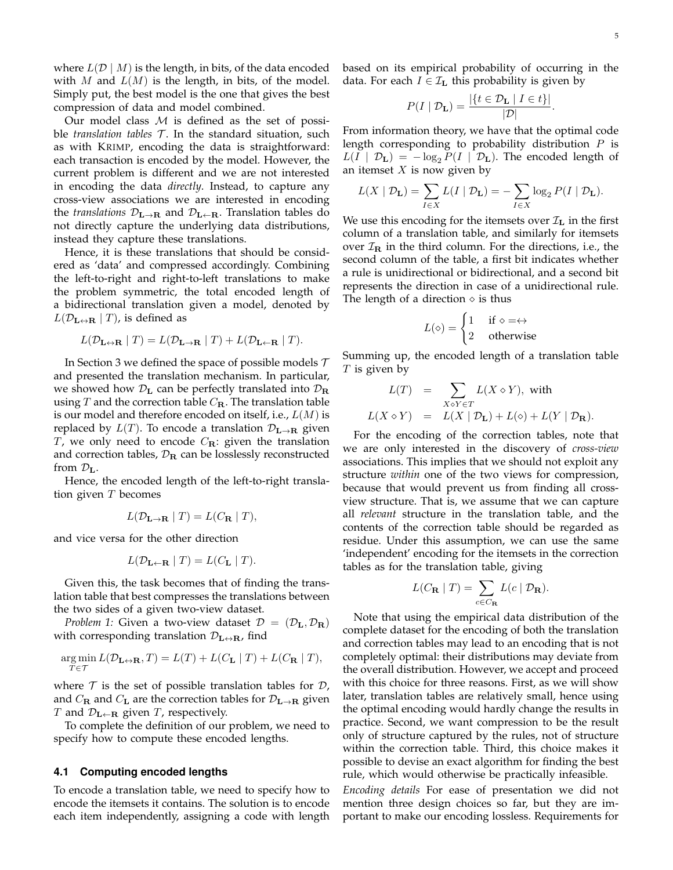where  $L(\mathcal{D} \mid M)$  is the length, in bits, of the data encoded with M and  $L(M)$  is the length, in bits, of the model. Simply put, the best model is the one that gives the best compression of data and model combined.

Our model class  $M$  is defined as the set of possible *translation tables*  $T$ . In the standard situation, such as with KRIMP, encoding the data is straightforward: each transaction is encoded by the model. However, the current problem is different and we are not interested in encoding the data *directly*. Instead, to capture any cross-view associations we are interested in encoding the *translations*  $D_{L\rightarrow R}$  and  $D_{L\leftarrow R}$ . Translation tables do not directly capture the underlying data distributions, instead they capture these translations.

Hence, it is these translations that should be considered as 'data' and compressed accordingly. Combining the left-to-right and right-to-left translations to make the problem symmetric, the total encoded length of a bidirectional translation given a model, denoted by  $L(\mathcal{D}_{\mathbf{L}\leftrightarrow\mathbf{R}} | T)$ , is defined as

$$
L(\mathcal{D}_{\mathbf{L}\leftrightarrow\mathbf{R}} | T) = L(\mathcal{D}_{\mathbf{L}\rightarrow\mathbf{R}} | T) + L(\mathcal{D}_{\mathbf{L}\leftarrow\mathbf{R}} | T).
$$

In Section 3 we defined the space of possible models  $T$ and presented the translation mechanism. In particular, we showed how  $\mathcal{D}_{L}$  can be perfectly translated into  $\mathcal{D}_{R}$ using T and the correction table  $C_{\bf R}$ . The translation table is our model and therefore encoded on itself, i.e.,  $L(M)$  is replaced by  $L(T)$ . To encode a translation  $\mathcal{D}_{L\rightarrow R}$  given T, we only need to encode  $C_{\mathbf{R}}$ : given the translation and correction tables,  $\mathcal{D}_R$  can be losslessly reconstructed from  $\mathcal{D}_{\mathbf{L}}$ .

Hence, the encoded length of the left-to-right translation given  $T$  becomes

$$
L(\mathcal{D}_{\mathbf{L}\to\mathbf{R}} | T) = L(C_{\mathbf{R}} | T),
$$

and vice versa for the other direction

$$
L(\mathcal{D}_{\mathbf{L}\leftarrow\mathbf{R}} | T) = L(C_{\mathbf{L}} | T).
$$

Given this, the task becomes that of finding the translation table that best compresses the translations between the two sides of a given two-view dataset.

*Problem 1:* Given a two-view dataset  $\mathcal{D} = (\mathcal{D}_L, \mathcal{D}_R)$ with corresponding translation  $\mathcal{D}_{\mathbf{L}\leftrightarrow\mathbf{R}}$ , find

$$
\mathop{\arg\min}_{T\in\mathcal{T}} L(\mathcal{D}_{\mathbf{L}\leftrightarrow\mathbf{R}},T)=L(T)+L(C_{\mathbf{L}}\mid T)+L(C_{\mathbf{R}}\mid T),
$$

where  $\tau$  is the set of possible translation tables for  $\mathcal{D}$ , and  $C_{\mathbf{R}}$  and  $C_{\mathbf{L}}$  are the correction tables for  $\mathcal{D}_{\mathbf{L}\to\mathbf{R}}$  given T and  $\mathcal{D}_{\mathbf{L}\leftarrow\mathbf{R}}$  given T, respectively.

To complete the definition of our problem, we need to specify how to compute these encoded lengths.

# **4.1 Computing encoded lengths**

To encode a translation table, we need to specify how to encode the itemsets it contains. The solution is to encode each item independently, assigning a code with length based on its empirical probability of occurring in the data. For each  $I \in \mathcal{I}_L$  this probability is given by

$$
P(I | \mathcal{D}_{\mathbf{L}}) = \frac{|\{t \in \mathcal{D}_{\mathbf{L}} | I \in t\}|}{|\mathcal{D}|}.
$$

From information theory, we have that the optimal code length corresponding to probability distribution  $P$  is  $L(I | \mathcal{D}_{L}) = -\log_2 P(I | \mathcal{D}_{L})$ . The encoded length of an itemset  $X$  is now given by

$$
L(X | \mathcal{D}_{\mathbf{L}}) = \sum_{I \in X} L(I | \mathcal{D}_{\mathbf{L}}) = -\sum_{I \in X} \log_2 P(I | \mathcal{D}_{\mathbf{L}}).
$$

We use this encoding for the itemsets over  $\mathcal{I}_L$  in the first column of a translation table, and similarly for itemsets over  $\mathcal{I}_R$  in the third column. For the directions, i.e., the second column of the table, a first bit indicates whether a rule is unidirectional or bidirectional, and a second bit represents the direction in case of a unidirectional rule. The length of a direction  $\diamond$  is thus

$$
L(\diamond) = \begin{cases} 1 & \text{if } \diamond = \leftrightarrow \\ 2 & \text{otherwise} \end{cases}
$$

Summing up, the encoded length of a translation table  $T$  is given by

$$
L(T) = \sum_{X \circ Y \in T} L(X \circ Y), \text{ with}
$$
  

$$
L(X \circ Y) = L(X | \mathcal{D}_L) + L(\diamond) + L(Y | \mathcal{D}_R).
$$

For the encoding of the correction tables, note that we are only interested in the discovery of *cross-view* associations. This implies that we should not exploit any structure *within* one of the two views for compression, because that would prevent us from finding all crossview structure. That is, we assume that we can capture all *relevant* structure in the translation table, and the contents of the correction table should be regarded as residue. Under this assumption, we can use the same 'independent' encoding for the itemsets in the correction tables as for the translation table, giving

$$
L(C_{\mathbf{R}} | T) = \sum_{c \in C_{\mathbf{R}}} L(c | \mathcal{D}_{\mathbf{R}}).
$$

Note that using the empirical data distribution of the complete dataset for the encoding of both the translation and correction tables may lead to an encoding that is not completely optimal: their distributions may deviate from the overall distribution. However, we accept and proceed with this choice for three reasons. First, as we will show later, translation tables are relatively small, hence using the optimal encoding would hardly change the results in practice. Second, we want compression to be the result only of structure captured by the rules, not of structure within the correction table. Third, this choice makes it possible to devise an exact algorithm for finding the best rule, which would otherwise be practically infeasible.

*Encoding details* For ease of presentation we did not mention three design choices so far, but they are important to make our encoding lossless. Requirements for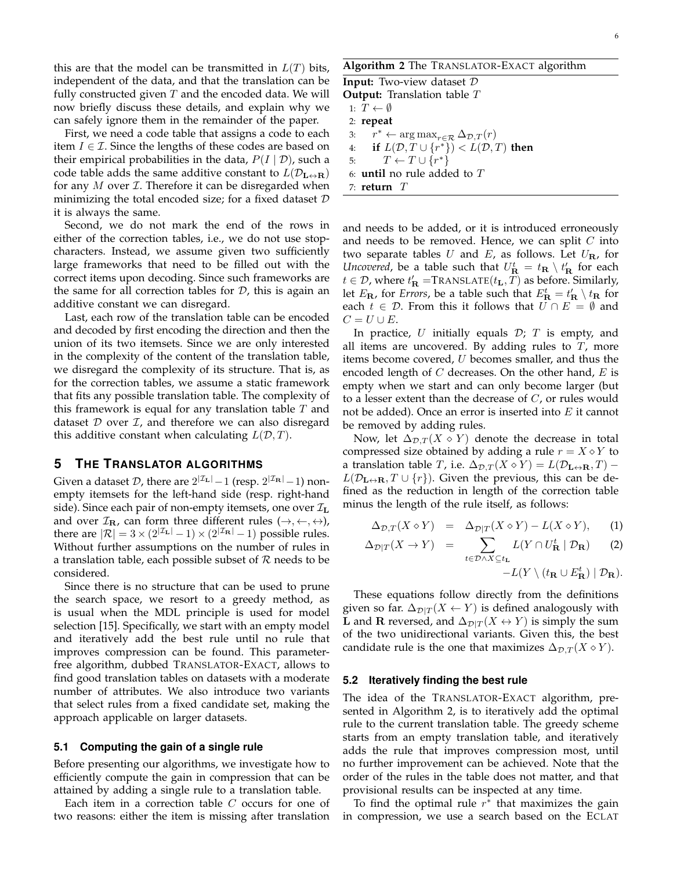this are that the model can be transmitted in  $L(T)$  bits, independent of the data, and that the translation can be fully constructed given  $T$  and the encoded data. We will now briefly discuss these details, and explain why we can safely ignore them in the remainder of the paper.

First, we need a code table that assigns a code to each item  $I \in \mathcal{I}$ . Since the lengths of these codes are based on their empirical probabilities in the data,  $P(I | \mathcal{D})$ , such a code table adds the same additive constant to  $L(\mathcal{D}_{\mathbf{L}\leftrightarrow\mathbf{R}})$ for any  $M$  over  $I$ . Therefore it can be disregarded when minimizing the total encoded size; for a fixed dataset  $D$ it is always the same.

Second, we do not mark the end of the rows in either of the correction tables, i.e., we do not use stopcharacters. Instead, we assume given two sufficiently large frameworks that need to be filled out with the correct items upon decoding. Since such frameworks are the same for all correction tables for  $D$ , this is again an additive constant we can disregard.

Last, each row of the translation table can be encoded and decoded by first encoding the direction and then the union of its two itemsets. Since we are only interested in the complexity of the content of the translation table, we disregard the complexity of its structure. That is, as for the correction tables, we assume a static framework that fits any possible translation table. The complexity of this framework is equal for any translation table  $T$  and dataset  $D$  over  $\mathcal{I}$ , and therefore we can also disregard this additive constant when calculating  $L(D, T)$ .

# **5 THE TRANSLATOR ALGORITHMS**

Given a dataset  $\mathcal{D}$ , there are  $2^{|\mathcal{I}_{\textbf{L}}|}-1$  (resp.  $2^{|\mathcal{I}_{\textbf{R}}|}-1$ ) nonempty itemsets for the left-hand side (resp. right-hand side). Since each pair of non-empty itemsets, one over  $\mathcal{I}_{L}$ and over  $\mathcal{I}_{R}$ , can form three different rules  $(\rightarrow, \leftarrow, \leftrightarrow)$ , there are  $|\mathcal{R}| = 3 \times (2^{|\mathcal{I}_{\mathbf{L}}|} - 1) \times (2^{|\mathcal{I}_{\mathbf{R}}|} - 1)$  possible rules. Without further assumptions on the number of rules in a translation table, each possible subset of  $R$  needs to be considered.

Since there is no structure that can be used to prune the search space, we resort to a greedy method, as is usual when the MDL principle is used for model selection [15]. Specifically, we start with an empty model and iteratively add the best rule until no rule that improves compression can be found. This parameterfree algorithm, dubbed TRANSLATOR-EXACT, allows to find good translation tables on datasets with a moderate number of attributes. We also introduce two variants that select rules from a fixed candidate set, making the approach applicable on larger datasets.

### **5.1 Computing the gain of a single rule**

Before presenting our algorithms, we investigate how to efficiently compute the gain in compression that can be attained by adding a single rule to a translation table.

Each item in a correction table  $C$  occurs for one of two reasons: either the item is missing after translation **Algorithm 2** The TRANSLATOR-EXACT algorithm

**Input:** Two-view dataset D **Output:** Translation table T 1:  $T \leftarrow \emptyset$ 2: **repeat** 3:  $r^* \leftarrow \arg \max_{r \in \mathcal{R}} \Delta_{\mathcal{D},T}(r)$ 4: **if**  $L(\mathcal{D}, T \cup \{r^*\}) < L(\mathcal{D}, T)$  then 5:  $T \leftarrow T \cup \{r^*\}$ 6: **until** no rule added to T 7: **return** T

and needs to be added, or it is introduced erroneously and needs to be removed. Hence, we can split  $C$  into two separate tables U and E, as follows. Let  $U_{\mathbf{R}}$ , for *Uncovered*, be a table such that  $U^t_{\mathbf{R}} = t_{\mathbf{R}} \setminus t'_{\mathbf{R}}$  for each  $t \in \mathcal{D}$ , where  $t'_\mathbf{R} = \text{TransLATE}(t_\mathbf{L}, \overline{T})$  as before. Similarly, let  $E_{\mathbf{R}}$ , for *Errors*, be a table such that  $E_{\mathbf{R}}^{t} = t_{\mathbf{R}}' \setminus t_{\mathbf{R}}$  for each  $t \in \mathcal{D}$ . From this it follows that  $U \cap E = \emptyset$  and  $C = U \cup E.$ 

In practice,  $U$  initially equals  $D$ ;  $T$  is empty, and all items are uncovered. By adding rules to  $T$ , more items become covered,  $U$  becomes smaller, and thus the encoded length of  $C$  decreases. On the other hand,  $E$  is empty when we start and can only become larger (but to a lesser extent than the decrease of  $C$ , or rules would not be added). Once an error is inserted into  $E$  it cannot be removed by adding rules.

Now, let  $\Delta_{\mathcal{D},T}(X \diamond Y)$  denote the decrease in total compressed size obtained by adding a rule  $r = X \diamond Y$  to a translation table *T*, i.e.  $\Delta_{\mathcal{D},T}(X \diamond Y) = L(\mathcal{D}_{\mathbf{L} \leftrightarrow \mathbf{R}}, T)$  –  $L(\mathcal{D}_{\mathbf{L}\leftrightarrow\mathbf{R}}, T\cup\{r\})$ . Given the previous, this can be defined as the reduction in length of the correction table minus the length of the rule itself, as follows:

$$
\Delta_{\mathcal{D},T}(X \diamond Y) = \Delta_{\mathcal{D}|T}(X \diamond Y) - L(X \diamond Y), \qquad (1)
$$

$$
\Delta_{\mathcal{D}|T}(X \to Y) = \sum_{t \in \mathcal{D} \wedge X \subseteq t_{\mathbf{L}}} L(Y \cap U_{\mathbf{R}}^{t} | \mathcal{D}_{\mathbf{R}})
$$
(2)

$$
-L(Y \setminus (t_{\mathbf{R}} \cup E_{\mathbf{R}}^{t}) | \mathcal{D}_{\mathbf{R}}).
$$

These equations follow directly from the definitions given so far.  $\Delta_{\mathcal{D}|T}(X \leftarrow Y)$  is defined analogously with **L** and **R** reversed, and  $\Delta_{\mathcal{D}|T}(X \leftrightarrow Y)$  is simply the sum of the two unidirectional variants. Given this, the best candidate rule is the one that maximizes  $\Delta_{\mathcal{D},T}(X \diamond Y)$ .

#### **5.2 Iteratively finding the best rule**

The idea of the TRANSLATOR-EXACT algorithm, presented in Algorithm 2, is to iteratively add the optimal rule to the current translation table. The greedy scheme starts from an empty translation table, and iteratively adds the rule that improves compression most, until no further improvement can be achieved. Note that the order of the rules in the table does not matter, and that provisional results can be inspected at any time.

To find the optimal rule  $r^*$  that maximizes the gain in compression, we use a search based on the ECLAT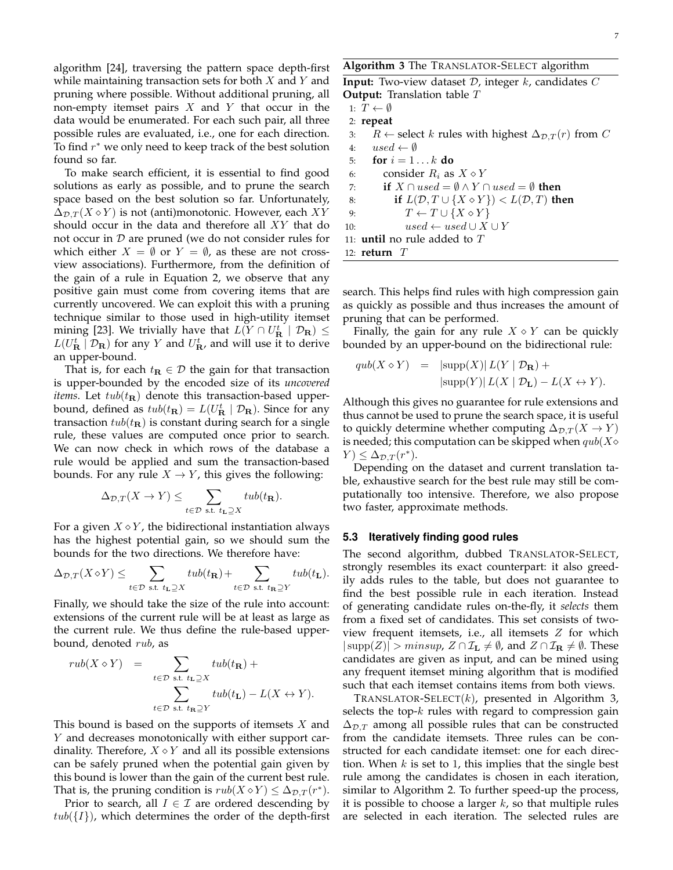algorithm [24], traversing the pattern space depth-first while maintaining transaction sets for both  $X$  and  $Y$  and pruning where possible. Without additional pruning, all non-empty itemset pairs  $X$  and  $Y$  that occur in the data would be enumerated. For each such pair, all three possible rules are evaluated, i.e., one for each direction. To find  $r^*$  we only need to keep track of the best solution found so far.

To make search efficient, it is essential to find good solutions as early as possible, and to prune the search space based on the best solution so far. Unfortunately,  $\Delta_{\mathcal{D},T}(X \diamond Y)$  is not (anti)monotonic. However, each XY should occur in the data and therefore all XY that do not occur in  $D$  are pruned (we do not consider rules for which either  $X = \emptyset$  or  $Y = \emptyset$ , as these are not crossview associations). Furthermore, from the definition of the gain of a rule in Equation 2, we observe that any positive gain must come from covering items that are currently uncovered. We can exploit this with a pruning technique similar to those used in high-utility itemset mining [23]. We trivially have that  $L(Y \cap U^t_R \mid \mathcal{D}_R) \leq$  $L(U_{\mathbf{R}}^t \mid \mathcal{D}_{\mathbf{R}})$  for any Y and  $U_{\mathbf{R}}^t$ , and will use it to derive an upper-bound.

That is, for each  $t_{\mathbf{R}} \in \mathcal{D}$  the gain for that transaction is upper-bounded by the encoded size of its *uncovered items*. Let  $tub(t_{\mathbf{R}})$  denote this transaction-based upperbound, defined as  $\text{tub}(t_{\mathbf{R}}) = L(U_{\mathbf{R}}^t \mid \mathcal{D}_{\mathbf{R}})$ . Since for any transaction  $\text{tub}(t_{\text{R}})$  is constant during search for a single rule, these values are computed once prior to search. We can now check in which rows of the database a rule would be applied and sum the transaction-based bounds. For any rule  $X \to Y$ , this gives the following:

$$
\Delta_{\mathcal{D},T}(X \to Y) \leq \sum_{t \in \mathcal{D} \text{ s.t. } t_{\mathbf{L}} \supseteq X} \text{tub}(t_{\mathbf{R}}).
$$

For a given  $X \diamond Y$ , the bidirectional instantiation always has the highest potential gain, so we should sum the bounds for the two directions. We therefore have:

$$
\Delta_{\mathcal{D},T}(X \diamond Y) \leq \sum_{t \in \mathcal{D} \text{ s.t. } t_{\mathbf{L}} \supseteq X} \text{tub}(t_{\mathbf{R}}) + \sum_{t \in \mathcal{D} \text{ s.t. } t_{\mathbf{R}} \supseteq Y} \text{tub}(t_{\mathbf{L}}).
$$

Finally, we should take the size of the rule into account: extensions of the current rule will be at least as large as the current rule. We thus define the rule-based upperbound, denoted rub, as

$$
rub(X \diamond Y) = \sum_{t \in \mathcal{D} \text{ s.t. } t_{\mathbf{L}} \supseteq X} tub(t_{\mathbf{R}}) +
$$

$$
\sum_{t \in \mathcal{D} \text{ s.t. } t_{\mathbf{R}} \supseteq Y} tub(t_{\mathbf{L}}) - L(X \leftrightarrow Y).
$$

This bound is based on the supports of itemsets  $X$  and Y and decreases monotonically with either support cardinality. Therefore,  $X \diamond Y$  and all its possible extensions can be safely pruned when the potential gain given by this bound is lower than the gain of the current best rule. That is, the pruning condition is  $rub(X \diamond Y) \leq \Delta_{\mathcal{D},T}(r^*)$ .

Prior to search, all  $I \in \mathcal{I}$  are ordered descending by  $tub({I})$ , which determines the order of the depth-first

## **Algorithm 3** The TRANSLATOR-SELECT algorithm

**Input:** Two-view dataset  $D$ , integer  $k$ , candidates  $C$ **Output:** Translation table T 1:  $T \leftarrow \emptyset$ 2: **repeat**

- 3:  $R \leftarrow$  select k rules with highest  $\Delta_{\mathcal{D},T}(r)$  from C 4:  $used \leftarrow \emptyset$
- 5: **for**  $i = 1...k$  **do** 6: consider  $R_i$  as  $X \diamond Y$ 7: **if**  $X \cap used = \emptyset \land Y \cap used = \emptyset$  **then** 8: **if**  $L(\mathcal{D}, T \cup \{X \diamond Y\}) < L(\mathcal{D}, T)$  then 9:  $T \leftarrow T \cup \{X \diamond Y\}$ 10:  $used \leftarrow used \cup X \cup Y$ 11: **until** no rule added to T

12: **return** T

search. This helps find rules with high compression gain as quickly as possible and thus increases the amount of pruning that can be performed.

Finally, the gain for any rule  $X \diamond Y$  can be quickly bounded by an upper-bound on the bidirectional rule:

$$
qub(X \diamond Y) = |\text{supp}(X)| L(Y | \mathcal{D}_{\mathbf{R}}) +
$$
  

$$
|\text{supp}(Y)| L(X | \mathcal{D}_{\mathbf{L}}) - L(X \leftrightarrow Y).
$$

Although this gives no guarantee for rule extensions and thus cannot be used to prune the search space, it is useful to quickly determine whether computing  $\Delta_{\mathcal{D},T}(X \to Y)$ is needed; this computation can be skipped when  $qub(X \diamond$  $Y) \leq \Delta_{\mathcal{D},T}(r^*).$ 

Depending on the dataset and current translation table, exhaustive search for the best rule may still be computationally too intensive. Therefore, we also propose two faster, approximate methods.

#### **5.3 Iteratively finding good rules**

The second algorithm, dubbed TRANSLATOR-SELECT, strongly resembles its exact counterpart: it also greedily adds rules to the table, but does not guarantee to find the best possible rule in each iteration. Instead of generating candidate rules on-the-fly, it *selects* them from a fixed set of candidates. This set consists of twoview frequent itemsets, i.e., all itemsets  $Z$  for which  $|\text{supp}(Z)| > minsup, Z \cap \mathcal{I}_{L} \neq \emptyset$ , and  $Z \cap \mathcal{I}_{R} \neq \emptyset$ . These candidates are given as input, and can be mined using any frequent itemset mining algorithm that is modified such that each itemset contains items from both views.

TRANSLATOR-SELECT $(k)$ , presented in Algorithm 3, selects the top- $k$  rules with regard to compression gain  $\Delta_{\mathcal{D},T}$  among all possible rules that can be constructed from the candidate itemsets. Three rules can be constructed for each candidate itemset: one for each direction. When  $k$  is set to 1, this implies that the single best rule among the candidates is chosen in each iteration, similar to Algorithm 2. To further speed-up the process, it is possible to choose a larger  $k$ , so that multiple rules are selected in each iteration. The selected rules are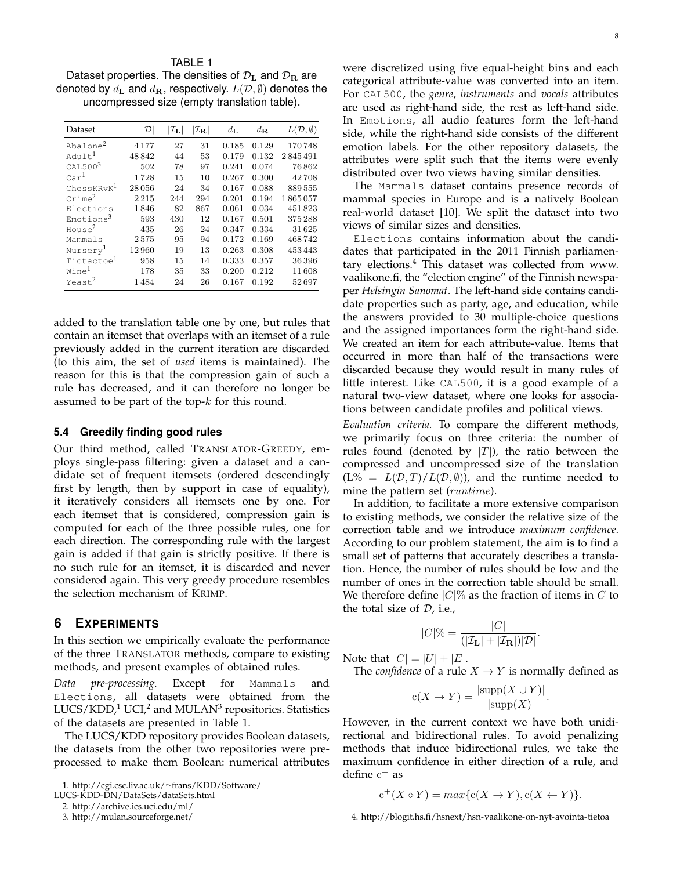# TABLE 1

Dataset properties. The densities of  $\mathcal{D}_{L}$  and  $\mathcal{D}_{R}$  are denoted by  $d_{\mathbf{L}}$  and  $d_{\mathbf{R}}$ , respectively.  $L(\mathcal{D}, \emptyset)$  denotes the uncompressed size (empty translation table).

| Dataset                | $\mathcal{D}$ | $ \mathcal{I}_{\mathrm{L}} $ | $ \mathcal{I}_{\mathbf{R}} $ | $d_{\mathbf{L}}$ | $d_{\mathbf{R}}$ | $L(\mathcal{D},\emptyset)$ |
|------------------------|---------------|------------------------------|------------------------------|------------------|------------------|----------------------------|
| Abalone <sup>2</sup>   | 4177          | 27                           | 31                           | 0.185            | 0.129            | 170748                     |
| Adult <sup>1</sup>     | 48842         | 44                           | 53                           | 0.179            | 0.132            | 2845491                    |
| CAL500 <sup>3</sup>    | 502           | 78                           | 97                           | 0.241            | 0.074            | 76862                      |
| Car <sup>1</sup>       | 1728          | 15                           | 10                           | 0.267            | 0.300            | 42708                      |
| ChessKRvK <sup>1</sup> | 28056         | 24                           | 34                           | 0.167            | 0.088            | 889555                     |
| Crime <sup>2</sup>     | 2215          | 244                          | 294                          | 0.201            | 0.194            | 1865057                    |
| Elections              | 1846          | 82                           | 867                          | 0.061            | 0.034            | 451823                     |
| Emotions <sup>3</sup>  | 593           | 430                          | 12                           | 0.167            | 0.501            | 375 288                    |
| House <sup>2</sup>     | 435           | 26                           | 24                           | 0.347            | 0.334            | 31625                      |
| Mammals                | 2575          | 95                           | 94                           | 0.172            | 0.169            | 468742                     |
| Nursery <sup>1</sup>   | 12960         | 19                           | 13                           | 0.263            | 0.308            | 453443                     |
| Tictactoe <sup>1</sup> | 958           | 15                           | 14                           | 0.333            | 0.357            | 36 396                     |
| Wine <sup>1</sup>      | 178           | 35                           | 33                           | 0.200            | 0.212            | 11608                      |
| Yeast <sup>2</sup>     | 1484          | 24                           | 26                           | 0.167            | 0.192            | 52697                      |

added to the translation table one by one, but rules that contain an itemset that overlaps with an itemset of a rule previously added in the current iteration are discarded (to this aim, the set of *used* items is maintained). The reason for this is that the compression gain of such a rule has decreased, and it can therefore no longer be assumed to be part of the top- $k$  for this round.

#### **5.4 Greedily finding good rules**

Our third method, called TRANSLATOR-GREEDY, employs single-pass filtering: given a dataset and a candidate set of frequent itemsets (ordered descendingly first by length, then by support in case of equality), it iteratively considers all itemsets one by one. For each itemset that is considered, compression gain is computed for each of the three possible rules, one for each direction. The corresponding rule with the largest gain is added if that gain is strictly positive. If there is no such rule for an itemset, it is discarded and never considered again. This very greedy procedure resembles the selection mechanism of KRIMP.

# **6 EXPERIMENTS**

In this section we empirically evaluate the performance of the three TRANSLATOR methods, compare to existing methods, and present examples of obtained rules.

*Data pre-processing.* Except for Mammals and Elections, all datasets were obtained from the  $LUCS/KDD<sup>1</sup>, UCI<sup>2</sup>$  and MULAN<sup>3</sup> repositories. Statistics of the datasets are presented in Table 1.

The LUCS/KDD repository provides Boolean datasets, the datasets from the other two repositories were preprocessed to make them Boolean: numerical attributes

1. http://cgi.csc.liv.ac.uk/∼frans/KDD/Software/

LUCS-KDD-DN/DataSets/dataSets.html

2. http://archive.ics.uci.edu/ml/

3. http://mulan.sourceforge.net/

were discretized using five equal-height bins and each categorical attribute-value was converted into an item. For CAL500, the *genre*, *instruments* and *vocals* attributes are used as right-hand side, the rest as left-hand side. In Emotions, all audio features form the left-hand side, while the right-hand side consists of the different emotion labels. For the other repository datasets, the attributes were split such that the items were evenly distributed over two views having similar densities.

The Mammals dataset contains presence records of mammal species in Europe and is a natively Boolean real-world dataset [10]. We split the dataset into two views of similar sizes and densities.

Elections contains information about the candidates that participated in the 2011 Finnish parliamentary elections.<sup>4</sup> This dataset was collected from www. vaalikone.fi, the "election engine" of the Finnish newspaper *Helsingin Sanomat*. The left-hand side contains candidate properties such as party, age, and education, while the answers provided to 30 multiple-choice questions and the assigned importances form the right-hand side. We created an item for each attribute-value. Items that occurred in more than half of the transactions were discarded because they would result in many rules of little interest. Like CAL500, it is a good example of a natural two-view dataset, where one looks for associations between candidate profiles and political views.

*Evaluation criteria.* To compare the different methods, we primarily focus on three criteria: the number of rules found (denoted by  $|T|$ ), the ratio between the compressed and uncompressed size of the translation  $(L\% = L(D, T)/L(D, \emptyset))$ , and the runtime needed to mine the pattern set (runtime).

In addition, to facilitate a more extensive comparison to existing methods, we consider the relative size of the correction table and we introduce *maximum confidence*. According to our problem statement, the aim is to find a small set of patterns that accurately describes a translation. Hence, the number of rules should be low and the number of ones in the correction table should be small. We therefore define  $|C|\%$  as the fraction of items in C to the total size of  $D$ , i.e.,

$$
|C|\% = \frac{|C|}{(|\mathcal{I}_{\mathbf{L}}| + |\mathcal{I}_{\mathbf{R}}|)|\mathcal{D}|}.
$$

Note that  $|C| = |U| + |E|$ .

The *confidence* of a rule  $X \to Y$  is normally defined as

$$
c(X \to Y) = \frac{|\text{supp}(X \cup Y)|}{|\text{supp}(X)|}.
$$

However, in the current context we have both unidirectional and bidirectional rules. To avoid penalizing methods that induce bidirectional rules, we take the maximum confidence in either direction of a rule, and define  $c^+$  as

 $c^+(X \diamond Y) = max\{c(X \to Y), c(X \leftarrow Y)\}.$ 

4. http://blogit.hs.fi/hsnext/hsn-vaalikone-on-nyt-avointa-tietoa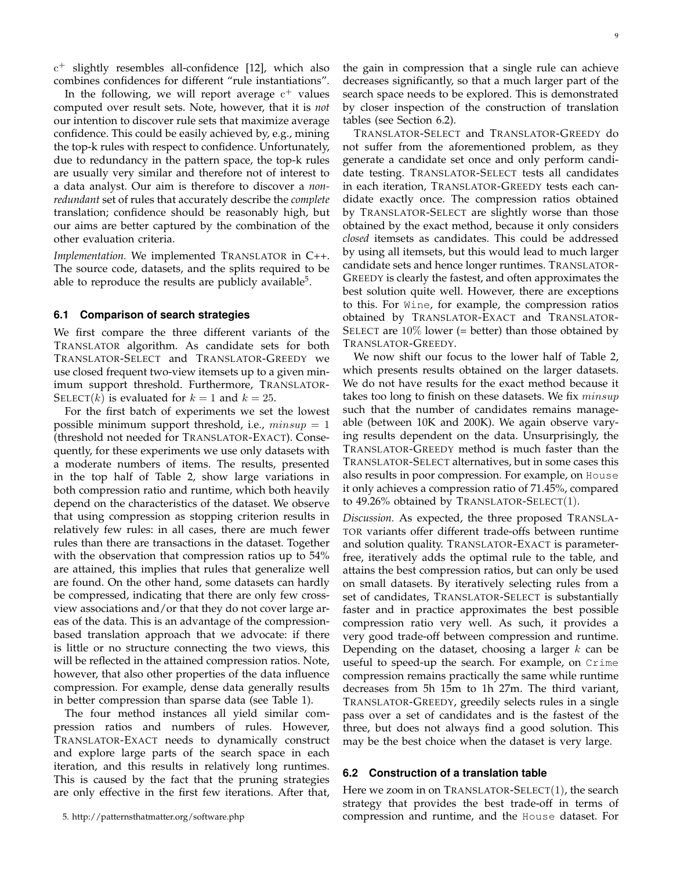c <sup>+</sup> slightly resembles all-confidence [12], which also combines confidences for different "rule instantiations".

In the following, we will report average  $\rm c^+$  values computed over result sets. Note, however, that it is *not* our intention to discover rule sets that maximize average confidence. This could be easily achieved by, e.g., mining the top-k rules with respect to confidence. Unfortunately, due to redundancy in the pattern space, the top-k rules are usually very similar and therefore not of interest to a data analyst. Our aim is therefore to discover a *nonredundant* set of rules that accurately describe the *complete* translation; confidence should be reasonably high, but our aims are better captured by the combination of the other evaluation criteria.

*Implementation.* We implemented TRANSLATOR in C++. The source code, datasets, and the splits required to be able to reproduce the results are publicly available<sup>5</sup>.

## **6.1 Comparison of search strategies**

We first compare the three different variants of the TRANSLATOR algorithm. As candidate sets for both TRANSLATOR-SELECT and TRANSLATOR-GREEDY we use closed frequent two-view itemsets up to a given minimum support threshold. Furthermore, TRANSLATOR-SELECT(k) is evaluated for  $k = 1$  and  $k = 25$ .

For the first batch of experiments we set the lowest possible minimum support threshold, i.e.,  $minsup = 1$ (threshold not needed for TRANSLATOR-EXACT). Consequently, for these experiments we use only datasets with a moderate numbers of items. The results, presented in the top half of Table 2, show large variations in both compression ratio and runtime, which both heavily depend on the characteristics of the dataset. We observe that using compression as stopping criterion results in relatively few rules: in all cases, there are much fewer rules than there are transactions in the dataset. Together with the observation that compression ratios up to 54% are attained, this implies that rules that generalize well are found. On the other hand, some datasets can hardly be compressed, indicating that there are only few crossview associations and/or that they do not cover large areas of the data. This is an advantage of the compressionbased translation approach that we advocate: if there is little or no structure connecting the two views, this will be reflected in the attained compression ratios. Note, however, that also other properties of the data influence compression. For example, dense data generally results in better compression than sparse data (see Table 1).

The four method instances all yield similar compression ratios and numbers of rules. However, TRANSLATOR-EXACT needs to dynamically construct and explore large parts of the search space in each iteration, and this results in relatively long runtimes. This is caused by the fact that the pruning strategies are only effective in the first few iterations. After that,

5. http://patternsthatmatter.org/software.php

the gain in compression that a single rule can achieve decreases significantly, so that a much larger part of the search space needs to be explored. This is demonstrated by closer inspection of the construction of translation tables (see Section 6.2).

TRANSLATOR-SELECT and TRANSLATOR-GREEDY do not suffer from the aforementioned problem, as they generate a candidate set once and only perform candidate testing. TRANSLATOR-SELECT tests all candidates in each iteration, TRANSLATOR-GREEDY tests each candidate exactly once. The compression ratios obtained by TRANSLATOR-SELECT are slightly worse than those obtained by the exact method, because it only considers *closed* itemsets as candidates. This could be addressed by using all itemsets, but this would lead to much larger candidate sets and hence longer runtimes. TRANSLATOR-GREEDY is clearly the fastest, and often approximates the best solution quite well. However, there are exceptions to this. For Wine, for example, the compression ratios obtained by TRANSLATOR-EXACT and TRANSLATOR-SELECT are  $10\%$  lower (= better) than those obtained by TRANSLATOR-GREEDY.

We now shift our focus to the lower half of Table 2, which presents results obtained on the larger datasets. We do not have results for the exact method because it takes too long to finish on these datasets. We fix  $minsup$ such that the number of candidates remains manageable (between 10K and 200K). We again observe varying results dependent on the data. Unsurprisingly, the TRANSLATOR-GREEDY method is much faster than the TRANSLATOR-SELECT alternatives, but in some cases this also results in poor compression. For example, on House it only achieves a compression ratio of 71.45%, compared to 49.26% obtained by TRANSLATOR-SELECT(1).

*Discussion.* As expected, the three proposed TRANSLA-TOR variants offer different trade-offs between runtime and solution quality. TRANSLATOR-EXACT is parameterfree, iteratively adds the optimal rule to the table, and attains the best compression ratios, but can only be used on small datasets. By iteratively selecting rules from a set of candidates, TRANSLATOR-SELECT is substantially faster and in practice approximates the best possible compression ratio very well. As such, it provides a very good trade-off between compression and runtime. Depending on the dataset, choosing a larger  $k$  can be useful to speed-up the search. For example, on Crime compression remains practically the same while runtime decreases from 5h 15m to 1h 27m. The third variant, TRANSLATOR-GREEDY, greedily selects rules in a single pass over a set of candidates and is the fastest of the three, but does not always find a good solution. This may be the best choice when the dataset is very large.

#### **6.2 Construction of a translation table**

Here we zoom in on  $\text{TRANSLATOR-SELECT}(1)$ , the search strategy that provides the best trade-off in terms of compression and runtime, and the House dataset. For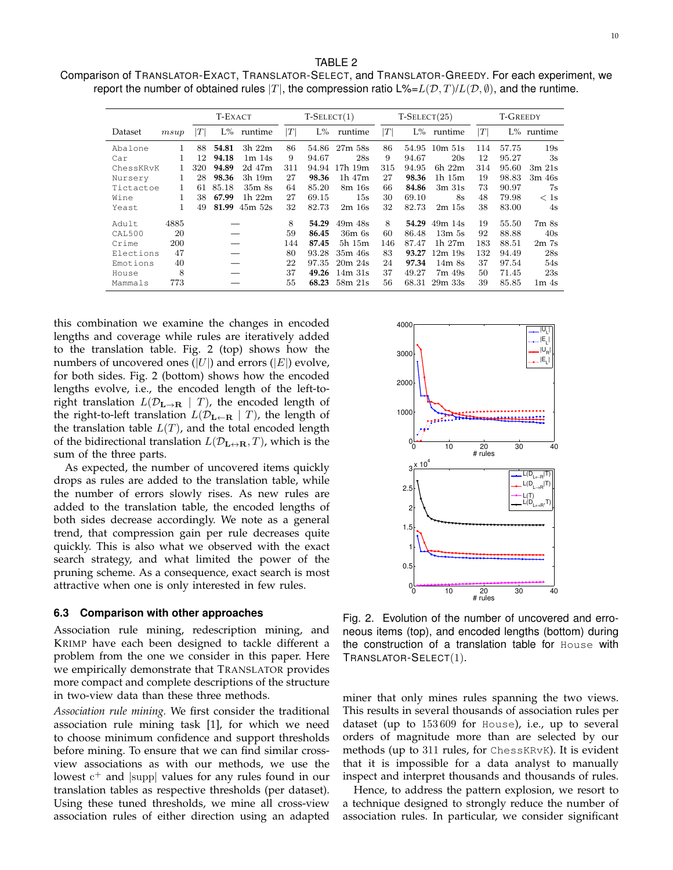Comparison of TRANSLATOR-EXACT, TRANSLATOR-SELECT, and TRANSLATOR-GREEDY. For each experiment, we report the number of obtained rules  $|T|$ , the compression ratio L%= $L(\mathcal{D}, T)/L(\mathcal{D}, \emptyset)$ , and the runtime.

|           |      |                  | T-EXACT |             |                  | $T-SELECT(1)$ |             |                   | $T-SELECT(25)$ |                   | <b>T-GREEDY</b> |       |                  |  |
|-----------|------|------------------|---------|-------------|------------------|---------------|-------------|-------------------|----------------|-------------------|-----------------|-------|------------------|--|
| Dataset   | msup | $\scriptstyle T$ | $L\%$   | runtime     | $\boldsymbol{T}$ | $L\%$         | runtime     | $\left  T\right $ | $L\%$          | runtime           | T               |       | L% runtime       |  |
| Abalone   | 1    | 88               | 54.81   | 3h 22m      | 86               | 54.86         | 27m 58s     | 86                | 54.95          | $10m$ 51s         | 114             | 57.75 | 19s              |  |
| Car       |      | 12               | 94.18   | $1m$ 14s    | 9                | 94.67         | 28s         | 9                 | 94.67          | 20s               | 12              | 95.27 | 3s               |  |
| ChessKRvK | 1    | 320              | 94.89   | 2d 47m      | 311              | 94.94         | 17h 19m     | 315               | 94.95          | 6h 22m            | 314             | 95.60 | $3m$ $21s$       |  |
| Nursery   | 1    | 28               | 98.36   | 3h 19m      | 27               | 98.36         | 1h 47m      | 27                | 98.36          | 1h 15m            | 19              | 98.83 | 3m 46s           |  |
| Tictactoe | 1    | 61               | 85.18   | 35m 8s      | 64               | 85.20         | 8m 16s      | 66                | 84.86          | 3m 31s            | 73              | 90.97 | 7s               |  |
| Wine      | 1    | 38               | 67.99   | $1h$ $22m$  | 27               | 69.15         | 15s         | 30                | 69.10          | 8s                | 48              | 79.98 | < 1s             |  |
| Yeast     | 1    | 49               | 81.99   | $45m$ $52s$ | 32               | 82.73         | 2m16s       | 32                | 82.73          | $2m$ 15s          | 38              | 83.00 | 4s               |  |
| Adult     | 4885 |                  |         |             | 8                | 54.29         | 49m 48s     | 8                 | 54.29          | $49m$ 14s         | 19              | 55.50 | 7m 8s            |  |
| CAL500    | 20   |                  |         |             | 59               | 86.45         | 36m 6s      | 60                | 86.48          | 13m <sub>5s</sub> | 92              | 88.88 | 40s              |  |
| Crime     | 200  |                  |         |             | 144              | 87.45         | 5h15m       | 146               | 87.47          | 1h 27m            | 183             | 88.51 | 2m <sub>7s</sub> |  |
| Elections | 47   |                  |         |             | 80               | 93.28         | 35m 46s     | 83                | 93.27          | $12m$ 19s         | 132             | 94.49 | 28s              |  |
| Emotions  | 40   |                  |         |             | 22               | 97.35         | 20m 24s     | 24                | 97.34          | $14m$ $8s$        | 37              | 97.54 | 54s              |  |
| House     | 8    |                  |         |             | 37               | 49.26         | $14m$ $31s$ | 37                | 49.27          | 7m 49s            | 50              | 71.45 | 23s              |  |
| Mammals   | 773  |                  |         |             | 55               | 68.23         | 58m 21s     | 56                | 68.31          | $29m$ $33s$       | 39              | 85.85 | 1m <sub>4s</sub> |  |

this combination we examine the changes in encoded lengths and coverage while rules are iteratively added to the translation table. Fig. 2 (top) shows how the numbers of uncovered ones ( $|U|$ ) and errors ( $|E|$ ) evolve, for both sides. Fig. 2 (bottom) shows how the encoded lengths evolve, i.e., the encoded length of the left-toright translation  $L(\mathcal{D}_{\mathbf{L}\to\mathbf{R}} | T)$ , the encoded length of the right-to-left translation  $L(\mathcal{D}_{\mathbf{L}\leftarrow\mathbf{R}} | T)$ , the length of the translation table  $L(T)$ , and the total encoded length of the bidirectional translation  $L(\mathcal{D}_{\mathbf{L}\leftrightarrow\mathbf{R}},T)$ , which is the sum of the three parts.

As expected, the number of uncovered items quickly drops as rules are added to the translation table, while the number of errors slowly rises. As new rules are added to the translation table, the encoded lengths of both sides decrease accordingly. We note as a general trend, that compression gain per rule decreases quite quickly. This is also what we observed with the exact search strategy, and what limited the power of the pruning scheme. As a consequence, exact search is most attractive when one is only interested in few rules.

#### **6.3 Comparison with other approaches**

Association rule mining, redescription mining, and KRIMP have each been designed to tackle different a problem from the one we consider in this paper. Here we empirically demonstrate that TRANSLATOR provides more compact and complete descriptions of the structure in two-view data than these three methods.

*Association rule mining.* We first consider the traditional association rule mining task [1], for which we need to choose minimum confidence and support thresholds before mining. To ensure that we can find similar crossview associations as with our methods, we use the lowest  $c^+$  and  $|supp|$  values for any rules found in our translation tables as respective thresholds (per dataset). Using these tuned thresholds, we mine all cross-view association rules of either direction using an adapted



Fig. 2. Evolution of the number of uncovered and erroneous items (top), and encoded lengths (bottom) during the construction of a translation table for House with TRANSLATOR-SELECT(1).

miner that only mines rules spanning the two views. This results in several thousands of association rules per dataset (up to 153 609 for House), i.e., up to several orders of magnitude more than are selected by our methods (up to 311 rules, for ChessKRvK). It is evident that it is impossible for a data analyst to manually inspect and interpret thousands and thousands of rules.

Hence, to address the pattern explosion, we resort to a technique designed to strongly reduce the number of association rules. In particular, we consider significant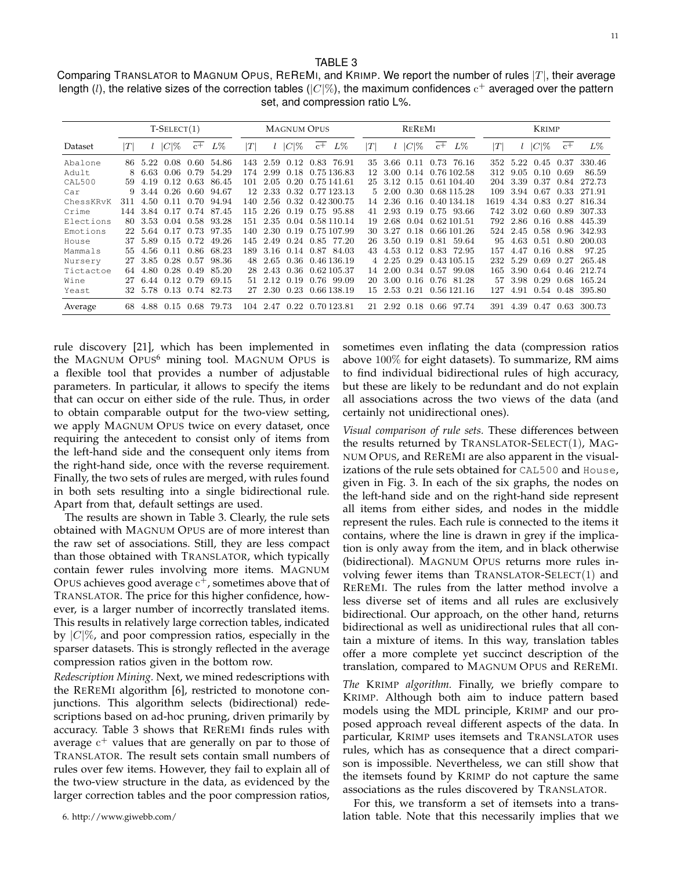## TABLE 3

Comparing TRANSLATOR to MAGNUM OPUS, REREMI, and KRIMP. We report the number of rules  $|T|$ , their average length (*l*), the relative sizes of the correction tables (|C|%), the maximum confidences  $c^+$  averaged over the pattern set, and compression ratio L%.

|           | $T-SELECT(1)$ |       |             |       | <b>MAGNUM OPUS</b> |      |      |                 | <b>REREMI</b> |             |    |        | <b>KRIMP</b> |       |                |                 |      |             |       |        |
|-----------|---------------|-------|-------------|-------|--------------------|------|------|-----------------|---------------|-------------|----|--------|--------------|-------|----------------|-----------------|------|-------------|-------|--------|
| Dataset   | $ T\>$        |       | $l$ $ C \%$ | $c^+$ | $L\%$              | T    |      | $ C \%$         | $c^+$         | $L\%$       | T  |        | $ C \%$      | $c^+$ | $L\%$          | $\vert T \vert$ |      | $l$ $ C \%$ | $c^+$ | $L\%$  |
| Abalone   | 86            | 5.22  | 0.08        | 0.60  | 54.86              | 143  | 2.59 | .12<br>$\Omega$ | 0.83          | 76.91       | 35 | 3.66   | 0.11         | 0.73  | 76.16          | 352             | 5.22 | 0.45        | 0.37  | 330.46 |
| Adult     |               | 6.63  | 0.06        | 0.79  | 54.29              | 174  | 2.99 | 0.18            |               | 0.75 136.83 |    | 3. OO  | 0.14         |       | 0.76 102.58    | 312             | 9.05 | 0.10        | 0.69  | 86.59  |
| CAL500    | 59            | 4.19  | 0.12        | 0.63  | 86.45              | 101  | 2.05 | 0.20            |               | 0.75 141.61 | 25 | 3.12   | 0.15         |       | 0.61 104.40    | 204             | 3.39 | 0.37        | 0.84  | 272.73 |
| Car       | 9             | -3.44 | 0.26        | 0.60  | 94.67              | 12   | 2.33 | 0.32            |               | 0.77 123.13 | 5. | 2.00   | 0.30         |       | 0.68 115.28    | 109             | 3.94 | 0.67        | 0.33  | 271.91 |
| ChessKRvK | 311           | 4.50  | 0.11        | 0.70  | 94.94              | 140. | 2.56 | 0.32            |               | 0.42300.75  | 14 | 2.36   | 0.16         |       | 0.40 134.18    | 1619            | 4.34 | 0.83        | 0.27  | 816.34 |
| Crime     | 144           | 3.84  | 0.17        | 0.74  | 87.45              | 115  | 2.26 | 0.19            |               | 0.75 95.88  | 41 | 2.93   | 0.19         |       | 0.75 93.66     | 742             | 3.02 | 0.60        | 0.89  | 307.33 |
| Elections | 80.           | 3.53  | 0.04        | 0.58  | 93.28              | 151  | 2.35 | 0.04            |               | 0.58 110.14 | 19 | 2.68   | 0.04         |       | $0.62\ 101.51$ | 792             | 2.86 | 0.16        | 0.88  | 445.39 |
| Emotions  | 22.           | 5.64  | 0.17        | 0.73  | 97.35              | 140  | 2.30 | 0.19            |               | 0.75 107.99 | 30 | 3.27   | 0.18         |       | 0.66101.26     | 524             | 2.45 | 0.58        | 0.96  | 342.93 |
| House     | 37            | 5.89  | 0.15        | 0.72  | 49.26              | 145. | 2.49 | 0.24            | 0.85          | 77.20       | 26 | 3.50   | 0.19         | 0.81  | 59.64          | 95              | 4.63 | 0.51        | 0.80  | 200.03 |
| Mammals   | 55            | 4.56  | 0.11        | 0.86  | 68.23              | 189  | 3.16 | 0.14            | 0.87          | 84.03       | 43 | 4.53   | 0.12         | 0.83  | 72.95          | 157             | 4.47 | 0.16        | 0.88  | 97.25  |
| Nursery   |               | 3.85  | 0.28        | 0.57  | 98.36              | 48   | 2.65 | 0.36            |               | 0.46 136.19 |    | 4 2.25 | 0.29         |       | 0.43 105.15    | 232             | 5.29 | 0.69        | 0.27  | 265.48 |
| Tictactoe | 64            | 4.80  | 0.28        | 0.49  | 85.20              | 28   | 2.43 | 0.36            |               | 0.62 105.37 | 14 | -2.00  | 0.34         | 0.57  | 99.08          | 165             | 3.90 | 0.64        | 0.46  | 212.74 |
| Wine      | 27            | 6.44  | 0.12        | 0.79  | 69.15              | 51   | 2.12 | 0.19            | 0.76          | 99.09       | 20 | 3.00   | 0.16         |       | 0.76 81.28     | 57              | 3.98 | 0.29        | 0.68  | 165.24 |
| Yeast     | 32            | 5.78  | 0.13        | 0.74  | 82.73              | 27   | 2.30 | 0.23            |               | 0.66 138.19 | 15 | 2.53   | 0.21         |       | 0.56121.16     | 127             | 4.91 | 0.54        | 0.48  | 395.80 |
| Average   | -68           | 4.88  | 0.15        | 0.68  | 79.73              | 104  | 2.47 | 0.22            |               | 0.70 123.81 | 21 | 2.92   | 0.18         | 0.66  | 97.74          | 391             | 4.39 | 0.47        | 0.63  | 300.73 |

rule discovery [21], which has been implemented in the MAGNUM OPUS<sup>6</sup> mining tool. MAGNUM OPUS is a flexible tool that provides a number of adjustable parameters. In particular, it allows to specify the items that can occur on either side of the rule. Thus, in order to obtain comparable output for the two-view setting, we apply MAGNUM OPUS twice on every dataset, once requiring the antecedent to consist only of items from the left-hand side and the consequent only items from the right-hand side, once with the reverse requirement. Finally, the two sets of rules are merged, with rules found in both sets resulting into a single bidirectional rule. Apart from that, default settings are used.

The results are shown in Table 3. Clearly, the rule sets obtained with MAGNUM OPUS are of more interest than the raw set of associations. Still, they are less compact than those obtained with TRANSLATOR, which typically contain fewer rules involving more items. MAGNUM OPUS achieves good average  $\mathrm{c}^{\mp}$ , sometimes above that of TRANSLATOR. The price for this higher confidence, however, is a larger number of incorrectly translated items. This results in relatively large correction tables, indicated by  $|C|\%$ , and poor compression ratios, especially in the sparser datasets. This is strongly reflected in the average compression ratios given in the bottom row.

*Redescription Mining.* Next, we mined redescriptions with the REREMI algorithm [6], restricted to monotone conjunctions. This algorithm selects (bidirectional) redescriptions based on ad-hoc pruning, driven primarily by accuracy. Table 3 shows that REREMI finds rules with average  $c^{+}$  values that are generally on par to those of TRANSLATOR. The result sets contain small numbers of rules over few items. However, they fail to explain all of the two-view structure in the data, as evidenced by the larger correction tables and the poor compression ratios,

6. http://www.giwebb.com/

sometimes even inflating the data (compression ratios above 100% for eight datasets). To summarize, RM aims to find individual bidirectional rules of high accuracy, but these are likely to be redundant and do not explain all associations across the two views of the data (and certainly not unidirectional ones).

*Visual comparison of rule sets.* These differences between the results returned by TRANSLATOR- $SELECT(1)$ , MAG-NUM OPUS, and REREMI are also apparent in the visualizations of the rule sets obtained for CAL500 and House, given in Fig. 3. In each of the six graphs, the nodes on the left-hand side and on the right-hand side represent all items from either sides, and nodes in the middle represent the rules. Each rule is connected to the items it contains, where the line is drawn in grey if the implication is only away from the item, and in black otherwise (bidirectional). MAGNUM OPUS returns more rules involving fewer items than TRANSLATOR-SELECT(1) and REREMI. The rules from the latter method involve a less diverse set of items and all rules are exclusively bidirectional. Our approach, on the other hand, returns bidirectional as well as unidirectional rules that all contain a mixture of items. In this way, translation tables offer a more complete yet succinct description of the translation, compared to MAGNUM OPUS and REREMI.

*The* KRIMP *algorithm.* Finally, we briefly compare to KRIMP. Although both aim to induce pattern based models using the MDL principle, KRIMP and our proposed approach reveal different aspects of the data. In particular, KRIMP uses itemsets and TRANSLATOR uses rules, which has as consequence that a direct comparison is impossible. Nevertheless, we can still show that the itemsets found by KRIMP do not capture the same associations as the rules discovered by TRANSLATOR.

For this, we transform a set of itemsets into a translation table. Note that this necessarily implies that we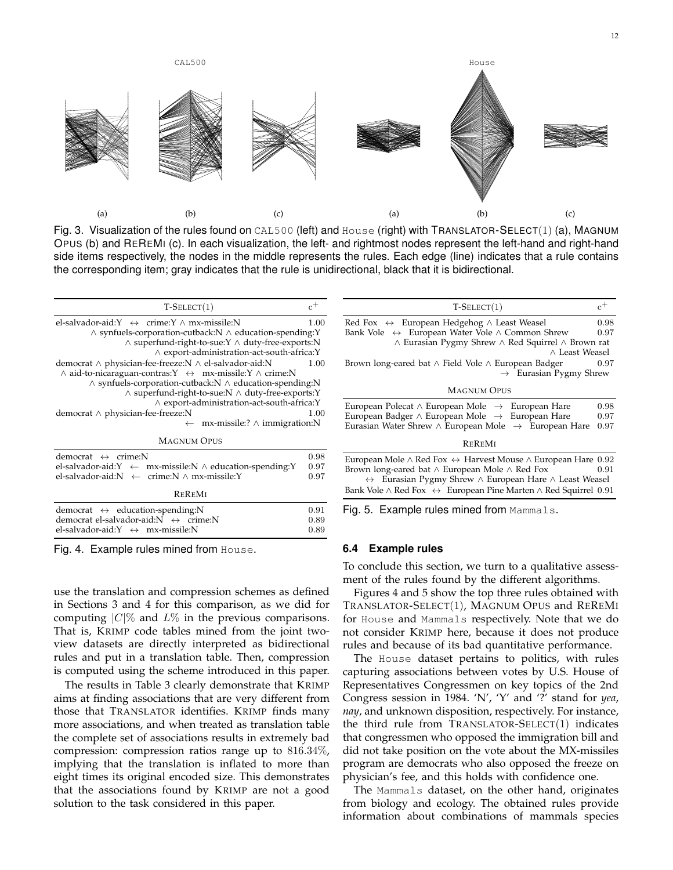

Fig. 3. Visualization of the rules found on CAL500 (left) and House (right) with TRANSLATOR-SELECT(1) (a), MAGNUM OPUS (b) and REREMI (c). In each visualization, the left- and rightmost nodes represent the left-hand and right-hand side items respectively, the nodes in the middle represents the rules. Each edge (line) indicates that a rule contains the corresponding item; gray indicates that the rule is unidirectional, black that it is bidirectional.

| $T-SELECT(1)$                                                                          |          |
|----------------------------------------------------------------------------------------|----------|
| el-salvador-aid: $Y \leftrightarrow$ crime: $Y \wedge mx$ -missile:N                   | 1.00     |
| $\wedge$ synfuels-corporation-cutback: $N \wedge$ education-spending:Y                 |          |
| $\land$ superfund-right-to-sue: $Y \land$ duty-free-exports: N                         |          |
| ∧ export-administration-act-south-africa:Y                                             |          |
| democrat $\wedge$ physician-fee-freeze: $N \wedge$ el-salvador-aid: $N$                | 1.00     |
| $\land$ aid-to-nicaraguan-contras: $Y \leftrightarrow mx$ -missile: $Y \land$ crime: N |          |
| $\land$ synfuels-corporation-cutback: $N \land$ education-spending: $N$                |          |
| $\wedge$ superfund-right-to-sue: $N \wedge$ duty-free-exports:Y                        |          |
| $\wedge$ export-administration-act-south-africa:Y                                      |          |
| democrat ∧ physician-fee-freeze:N                                                      | $1.00\,$ |
| $\leftarrow$ mx-missile:? $\wedge$ immigration:N                                       |          |
| <b>MAGNUM OPUS</b>                                                                     |          |
| democrat $\leftrightarrow$ crime:N                                                     | 0.98     |
| el-salvador-aid: $Y \leftarrow mx\text{-}missile:N \wedge education\text{-}spending:Y$ | 0.97     |

| el-salvador-aid: $N \leftarrow$ crime: $N \wedge mx$ -missile:Y | 0.97 |
|-----------------------------------------------------------------|------|
| <b>REREMI</b>                                                   |      |
| democrat $\leftrightarrow$ education-spending:N                 | 0.91 |
| democrat el-salvador-aid: $N \leftrightarrow$ crime:N           | 0.89 |
| el-salvador-aid: $Y \leftrightarrow mx-missile:N$               | 0.89 |

Fig. 4. Example rules mined from House.

use the translation and compression schemes as defined in Sections 3 and 4 for this comparison, as we did for computing  $|C|\%$  and  $L\%$  in the previous comparisons. That is, KRIMP code tables mined from the joint twoview datasets are directly interpreted as bidirectional rules and put in a translation table. Then, compression is computed using the scheme introduced in this paper.

The results in Table 3 clearly demonstrate that KRIMP aims at finding associations that are very different from those that TRANSLATOR identifies. KRIMP finds many more associations, and when treated as translation table the complete set of associations results in extremely bad compression: compression ratios range up to 816.34%, implying that the translation is inflated to more than eight times its original encoded size. This demonstrates that the associations found by KRIMP are not a good solution to the task considered in this paper.

| $T-SELECT(1)$                                                                            | $c^+$ |  |  |  |  |  |
|------------------------------------------------------------------------------------------|-------|--|--|--|--|--|
| Red Fox $\leftrightarrow$ European Hedgehog $\wedge$ Least Weasel                        | 0.98  |  |  |  |  |  |
| Bank Vole → European Water Vole ∧ Common Shrew                                           |       |  |  |  |  |  |
| $\wedge$ Eurasian Pygmy Shrew $\wedge$ Red Squirrel $\wedge$ Brown rat                   |       |  |  |  |  |  |
| ∧ Least Weasel                                                                           |       |  |  |  |  |  |
| Brown long-eared bat ∧ Field Vole ∧ European Badger                                      | 0.97  |  |  |  |  |  |
| $\rightarrow$ Eurasian Pygmy Shrew                                                       |       |  |  |  |  |  |
| <b>MAGNUM OPUS</b>                                                                       |       |  |  |  |  |  |
| European Polecat $\land$ European Mole $\rightarrow$ European Hare                       | 0.98  |  |  |  |  |  |
| European Badger $\land$ European Mole $\rightarrow$ European Hare                        | 0.97  |  |  |  |  |  |
| Eurasian Water Shrew $\land$ European Mole $\rightarrow$ European Hare                   | 0.97  |  |  |  |  |  |
| REREMI                                                                                   |       |  |  |  |  |  |
| European Mole $\land$ Red Fox $\leftrightarrow$ Harvest Mouse $\land$ European Hare 0.92 |       |  |  |  |  |  |

Brown long-eared bat ∧ European Mole ∧ Red Fox 0.91 ↔ Eurasian Pygmy Shrew ∧ European Hare ∧ Least Weasel Bank Vole ∧ Red Fox ↔ European Pine Marten ∧ Red Squirrel 0.91

Fig. 5. Example rules mined from Mammals.

#### **6.4 Example rules**

To conclude this section, we turn to a qualitative assessment of the rules found by the different algorithms.

Figures 4 and 5 show the top three rules obtained with TRANSLATOR-SELECT(1), MAGNUM OPUS and REREMI for House and Mammals respectively. Note that we do not consider KRIMP here, because it does not produce rules and because of its bad quantitative performance.

The House dataset pertains to politics, with rules capturing associations between votes by U.S. House of Representatives Congressmen on key topics of the 2nd Congress session in 1984. 'N', 'Y' and '?' stand for *yea*, *nay*, and unknown disposition, respectively. For instance, the third rule from  $TRANSLATOR-SELECT(1)$  indicates that congressmen who opposed the immigration bill and did not take position on the vote about the MX-missiles program are democrats who also opposed the freeze on physician's fee, and this holds with confidence one.

The Mammals dataset, on the other hand, originates from biology and ecology. The obtained rules provide information about combinations of mammals species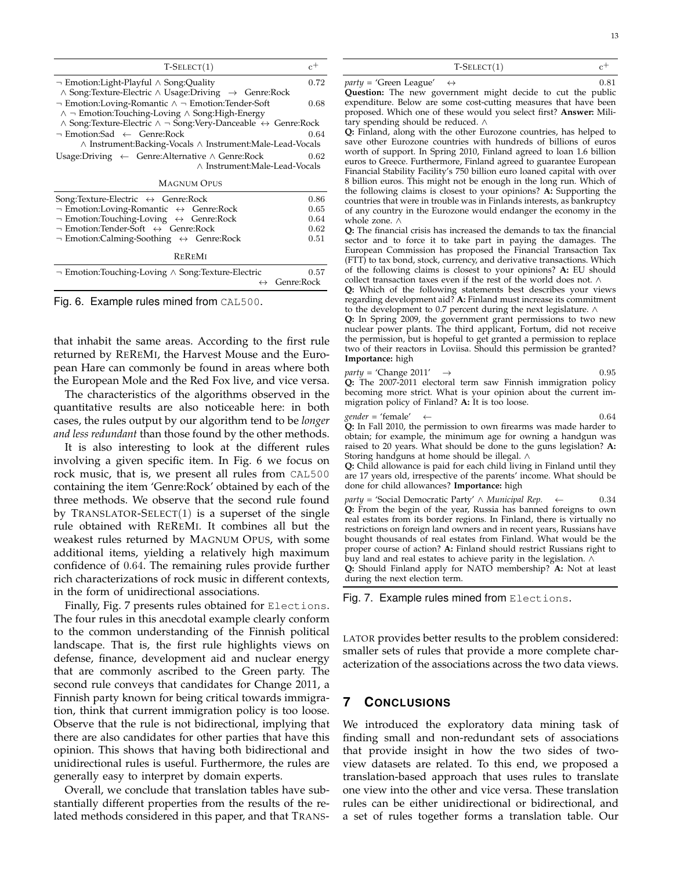| $T-SELECT(1)$                                                                               | $c^+$ |  |  |  |  |  |
|---------------------------------------------------------------------------------------------|-------|--|--|--|--|--|
| $\neg$ Emotion:Light-Playful $\wedge$ Song:Quality                                          | 0.72  |  |  |  |  |  |
| $\land$ Song:Texture-Electric $\land$ Usage:Driving $\rightarrow$ Genre:Rock                |       |  |  |  |  |  |
| $\neg$ Emotion:Loving-Romantic $\wedge \neg$ Emotion:Tender-Soft                            |       |  |  |  |  |  |
| $\wedge \neg$ Emotion:Touching-Loving $\wedge$ Song:High-Energy                             |       |  |  |  |  |  |
| $\land$ Song:Texture-Electric $\land \neg$ Song:Very-Danceable $\leftrightarrow$ Genre:Rock |       |  |  |  |  |  |
| $\neg$ Emotion:Sad $\leftarrow$ Genre:Rock                                                  | 0.64  |  |  |  |  |  |
| $\wedge$ Instrument:Backing-Vocals $\wedge$ Instrument:Male-Lead-Vocals                     |       |  |  |  |  |  |
| Usage:Driving $\leftarrow$ Genre:Alternative $\wedge$ Genre:Rock                            |       |  |  |  |  |  |
| ∧ Instrument:Male-Lead-Vocals                                                               |       |  |  |  |  |  |
| <b>MAGNUM OPUS</b>                                                                          |       |  |  |  |  |  |
| Song:Texture-Electric $\leftrightarrow$ Genre:Rock                                          | 0.86  |  |  |  |  |  |
| $\neg$ Emotion:Loving-Romantic $\leftrightarrow$ Genre:Rock                                 | 0.65  |  |  |  |  |  |
| $\neg$ Emotion:Touching-Loving $\leftrightarrow$ Genre:Rock                                 | 0.64  |  |  |  |  |  |
| $\neg$ Emotion:Tender-Soft $\leftrightarrow$ Genre:Rock                                     | 0.62  |  |  |  |  |  |
| $\neg$ Emotion:Calming-Soothing $\leftrightarrow$ Genre:Rock                                | 0.51  |  |  |  |  |  |
| REREMI                                                                                      |       |  |  |  |  |  |

| $\neg$ Emotion:Touching-Loving $\wedge$ Song:Texture-Electric | 0.57                         |
|---------------------------------------------------------------|------------------------------|
|                                                               | $\leftrightarrow$ Genre:Rock |

Fig. 6. Example rules mined from CAL500.

that inhabit the same areas. According to the first rule returned by REREMI, the Harvest Mouse and the European Hare can commonly be found in areas where both the European Mole and the Red Fox live, and vice versa.

The characteristics of the algorithms observed in the quantitative results are also noticeable here: in both cases, the rules output by our algorithm tend to be *longer and less redundant* than those found by the other methods.

It is also interesting to look at the different rules involving a given specific item. In Fig. 6 we focus on rock music, that is, we present all rules from CAL500 containing the item 'Genre:Rock' obtained by each of the three methods. We observe that the second rule found by TRANSLATOR-SELECT $(1)$  is a superset of the single rule obtained with REREMI. It combines all but the weakest rules returned by MAGNUM OPUS, with some additional items, yielding a relatively high maximum confidence of 0.64. The remaining rules provide further rich characterizations of rock music in different contexts, in the form of unidirectional associations.

Finally, Fig. 7 presents rules obtained for Elections. The four rules in this anecdotal example clearly conform to the common understanding of the Finnish political landscape. That is, the first rule highlights views on defense, finance, development aid and nuclear energy that are commonly ascribed to the Green party. The second rule conveys that candidates for Change 2011, a Finnish party known for being critical towards immigration, think that current immigration policy is too loose. Observe that the rule is not bidirectional, implying that there are also candidates for other parties that have this opinion. This shows that having both bidirectional and unidirectional rules is useful. Furthermore, the rules are generally easy to interpret by domain experts.

Overall, we conclude that translation tables have substantially different properties from the results of the related methods considered in this paper, and that TRANS- 13

 $party = 'Green League' \leftrightarrow 0.81$ **Question:** The new government might decide to cut the public expenditure. Below are some cost-cutting measures that have been

proposed. Which one of these would you select first? **Answer:** Military spending should be reduced. ∧

**Q:** Finland, along with the other Eurozone countries, has helped to save other Eurozone countries with hundreds of billions of euros worth of support. In Spring 2010, Finland agreed to loan 1.6 billion euros to Greece. Furthermore, Finland agreed to guarantee European Financial Stability Facility's 750 billion euro loaned capital with over 8 billion euros. This might not be enough in the long run. Which of the following claims is closest to your opinions? **A:** Supporting the countries that were in trouble was in Finlands interests, as bankruptcy of any country in the Eurozone would endanger the economy in the whole zone. ∧

**Q:** The financial crisis has increased the demands to tax the financial sector and to force it to take part in paying the damages. The European Commission has proposed the Financial Transaction Tax (FTT) to tax bond, stock, currency, and derivative transactions. Which of the following claims is closest to your opinions? **A:** EU should collect transaction taxes even if the rest of the world does not. ∧

**Q:** Which of the following statements best describes your views regarding development aid? **A:** Finland must increase its commitment to the development to 0.7 percent during the next legislature. ∧

**Q:** In Spring 2009, the government grant permissions to two new nuclear power plants. The third applicant, Fortum, did not receive the permission, but is hopeful to get granted a permission to replace two of their reactors in Loviisa. Should this permission be granted? **Importance:** high

|  | <i>party = 'Change 2011'</i> $\rightarrow$ |  |  |                                                                | 0.95 |
|--|--------------------------------------------|--|--|----------------------------------------------------------------|------|
|  |                                            |  |  | Q: The 2007-2011 electoral term saw Finnish immigration policy |      |
|  | $\cdots$ $\cdots$ $\cdots$                 |  |  |                                                                |      |

becoming more strict. What is your opinion about the current immigration policy of Finland? **A:** It is too loose.

| $\textit{gender} = \textit{'female'} \quad \leftarrow$ |  | 0.64 |
|--------------------------------------------------------|--|------|
|                                                        |  |      |

**Q:** In Fall 2010, the permission to own firearms was made harder to obtain; for example, the minimum age for owning a handgun was raised to 20 years. What should be done to the guns legislation? **A:** Storing handguns at home should be illegal. ∧

**Q:** Child allowance is paid for each child living in Finland until they are 17 years old, irrespective of the parents' income. What should be done for child allowances? **Importance:** high

*party* = 'Social Democratic Party' ∧ *Municipal Rep.* ← 0.34 **Q:** From the begin of the year, Russia has banned foreigns to own real estates from its border regions. In Finland, there is virtually no restrictions on foreign land owners and in recent years, Russians have bought thousands of real estates from Finland. What would be the proper course of action? **A:** Finland should restrict Russians right to buy land and real estates to achieve parity in the legislation. ∧

**Q:** Should Finland apply for NATO membership? **A:** Not at least during the next election term.

Fig. 7. Example rules mined from Elections.

LATOR provides better results to the problem considered: smaller sets of rules that provide a more complete characterization of the associations across the two data views.

# **7 CONCLUSIONS**

We introduced the exploratory data mining task of finding small and non-redundant sets of associations that provide insight in how the two sides of twoview datasets are related. To this end, we proposed a translation-based approach that uses rules to translate one view into the other and vice versa. These translation rules can be either unidirectional or bidirectional, and a set of rules together forms a translation table. Our